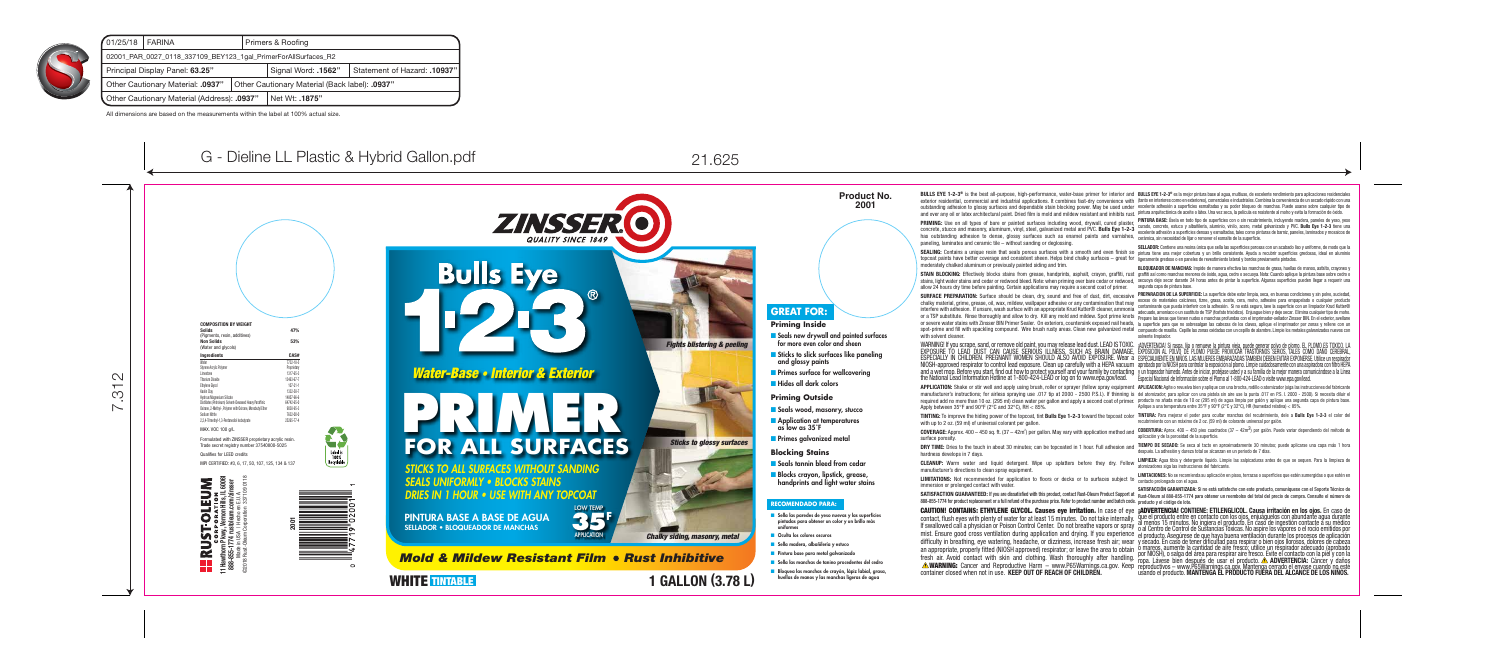SELLADOR • BLOQUEADOR DE MANCHAS PINTURA BASE A BASE DE AGUA

### **Mold & Mildew Resistant Film • Rust Inhibitive**





**Bulls Eye** 

*STICKS TO ALL SURFACES WITHOUT SANDING SEALS UNIFORMLY • BLOCKS STAINS DRIES IN 1 HOUR • USE WITH ANY TOPCOAT*





L. Label is<br>100%<br>Recyclable



 $\left( \mathsf{R}\right)$ 

### COMPOSITION BY WEIGHT

| <b>Solids</b><br>(Pigments, resin, additives)<br><b>Non Solids</b><br>(Water and glycols) | 47%<br>53%     |
|-------------------------------------------------------------------------------------------|----------------|
|                                                                                           |                |
| Water                                                                                     | 7732-18-5      |
| Styrene Acrylic Polymer                                                                   | Proprietary    |
| I imestone                                                                                | 1317-65-3      |
| <b>Titanium Dioxide</b>                                                                   | 13463-67-7     |
| Ethvlene Glvcol                                                                           | $107 - 21 - 1$ |
| Kaolin Clav                                                                               | 1332-58-7      |
| <b>Hydrous Magnesium Silicate</b>                                                         | 14807-96-6     |
| Distillates (Petroleum) Solvent-Dewaxed Heavy Paraffinic                                  | 64742-65-0     |
| Oxirane. 2-Methyl-. Polymer with Oxirane. Monobutyl Ether                                 | 9038-95-3      |
| Sodium Nitrite                                                                            | 7632-00-0      |
| 2.2.4-Trimethyl-1.3-Pentanediol Isobutyrate                                               | 25265-77-4     |

MAX. VOC 100 g/L

**PRIMING:** Use on all types of bare or painted surfaces including wood, drywall, cured plaster, concrete, stucco and masonry, aluminum, vinyl, steel, galvanized metal and PVC. Bulls Eye 1-2-3 has outstanding adhesion to dense, glossy surfaces such as enamel paints and varnishes, cerámica, sin necesidad de lijar o remover el esmalte de la superficie. paneling, laminates and ceramic tile – without sanding or deglossing.

Formulated with ZINSSER proprietary acrylic resin. Trade secret registry number 37540800-5025

Qualifies for LEED credits

MPI CERTIFIED: #3, 6, 17, 50, 107, 125, 134 & 137

SEALING: Contains a unique resin that seals porous surfaces with a smooth and even finish so pintura tiene una mejor cobertura y un brillo consistente. Ayuda a recubrir superficies gredosas, ideal en aluminio topcoat paints have better coverage and consistent sheen. Helps bind chalky surfaces – great for ligeramente gredoso o en paneles de revestimiento lateral y bordes previamente pintados. moderately chalked aluminum or previously painted siding and trim.

**STAIN BLOCKING:** Effectively blocks stains from grease, handprints, asphalt, crayon, graffiti, rust graffiti así como manchas menores de óxido, agua, cedro o secuoya. Nota: Cuando aplique la pintura base sobre cedro o stains, light water stains and cedar or redwood bleed. Note: when priming over bare cedar or redwood, secuoya deje secar durante 24 horas antes de pintar la superficie. Algunas superficies pueden llegar a requerir una allow 24 hours dry time before painting. Certain applications may require a second coat of primer.

WARNING! If you scrape, sand, or remove old paint, you may release lead dust. LEAD IS TOXIC. EXPOSURE TO LEAD DUST CAN CAUSE SERIOUS ILLNESS, SUCH AS BRAIN DAMAGE, ¡ADVERTENCIA! Si raspa, lija o remueve la pintura vieja, puede generar polvo de plomo. EL PLOMO ES TOXICO. LA ESPECIALLY IN CHILDREN. PREGNANT WOMEN SHOULD ALSO AVOID EXPOSURE. Wear a ESPECIALMENTE EN NINOS LAS MUJERES EMBARAZADAS TAMBIEN DEBEN EVITAR EXPONERSE. Utilice un respirador NIOSH-approved respirator to control lead exposure. Clean up carefully with a HEPA vacuum aprobado por la NIOSH para controlar la exposición al plomo. Limpie cuidadosamente con una aspiradora con filtro HEPA and a wet mop. Before you start, find out how to protect yourself and your family by contacting yun trapeador húmedo. Antes de iniciar, protéjase usted y a su familia de la mejor manera comunicándose a la Línea the National Lead Information Hotline at 1-800-424-LEAD or log on to www.epa.gov/lead. Especial Nacional de Información sobre el Plomo al 1-800-424-LEAD o visite www.epa.gov/lead.

APPLICATION: Shake or stir well and apply using brush, roller or sprayer (follow spray equipment APLICACION: Agite orevuelva bien y aplique con una brocha, rodillo o atomizador (siga las instrucciones del fabricante manufacturer's instructions; for airless spraying use .017 tip at 2000 - 2500 P.S.I.). If thinning is del atomizador; para aplicar con una pistola sin aire use la punta .017 en P.S. I. 2000 - 2500). Si necesita diluir el required add no more than 10 oz. (295 ml) clean water per gallon and apply a second coat of primer. producto no añada más de 10 oz (295 ml) de agua limpia por galón y aplique una segunda capa de pintura base. Apply between 35°F and 90°F (2°C and 32°C), RH < 85%.

TINTING: To improve the hiding power of the topcoat, tint Bulls Eye 1-2-3 toward the topcoat color TINTURA: Para mejorar el poder para ocultar manchas del recubrimiento, dele a Bulls Eye 1-2-3 el color del with up to 2 oz. (59 ml) of universal colorant per gallon.

CLEANUP: Warm water and liquid detergent. Wipe up splatters before they dry. Follow manufacturer's directions to clean spray equipment.

**LIMITATIONS:** Not recommended for application to floors or decks or to surfaces subject to contacto prolongado con el agua. immersion or prolonged contact with water.

SURFACE PREPARATION: Surface should be clean, dry, sound and free of dust, dirt, excessive chalky material, grime, grease, oil, wax, mildew, wallpaper adhesive or any contamination that may interfere with adhesion. If unsure, wash surface with an appropriate Krud Kutter® cleaner, ammonia nteriors was accessoring and allow to dry. Kill any mold and middew. Spot prime Rindom adecuado, amoniaco o un sustituto de TSP (fosfato trisódico). Enjuague bien y deje secar. Elimina cualquier tipo de moho.<br>Or a TSP subs or severe water stains with Zinsser BIN Primer Sealer. On exteriors, countersink exposed nail heads, la superficie para que no sobresalgan las cabezas de los clavos, aplique el imprimador por zonas y rellene con un spot-prime and fill with spackling compound. Wire brush rusty areas. Clean new galvanized metal compuesto de masilla. Cepille las zonas oxidadas con un cepillo de alambre. Limpie los metales galvanizados nuevos con with solvent cleaner.

surface porosity.

hardness develops in 7 days.

DRY TIME: Dries to the touch in about 30 minutes; can be topcoated in 1 hour. Full adhesion and ILLEMPO DE SECADO: Se seca al tacto en aproximadamente 30 minutos; puede aplicarse una capa más 1 hora después. La adhesión y dureza total se alcanzan en un periodo de 7 días.

SATISFACTION GUARANTEED: If you are dissatisfied with this product, contact Rust-Oleum Product Support at Rust-Oleum al 888-855-1774 para obtener un reembolso del total del precio de compra. Consulte el número de SATISFACCIÓN GARANTIZADA: Si no está satisfecho con este producto, comuníquese con el Soporte Técnico de

**CAUTION! CONTAINS: ETHYLENE GLYCOL. Causes eye irritation.** In case of eye **¡ADVERTENCIA! CONTIENE: ETILENGLICOL. Causa irritación en los ojos.** En caso de contact, flush eyes with plenty of water for at least 15 minutes. Do not take internally. Que el producto entre en contacto con los ojos, enjuáguelos con abundante agua durante ornato, nach vyse mar ponty or nach for a rease to milated. Bo not and memany. al menos 15 minutos. No ingiera el producto. En caso de ingestión contacte a su médico<br>If swallowed call a physician or Poison Control Center. mist. Ensure good cross ventilation during application and drying. If you experience el producto. Asegúrese de que haya buena ventilación durante los procesos de aplicación difficulty in breathing, eye watering, headache, or dizziness, increase fresh air; wear y secado. En caso de tener dificultad para respirar o bien ojos llorosos, dolores de cabeza<br>an appropriate, properly fitted (NIOSH app por NIOSH), o salga del área para respirar aire fresco. Evite el contacto con la piel y con la<br>ropa. Lávese bien después de usar el producto. **A ADVERTENCIA:** Cáncer y daños

- Seals tannin bleed from cedar
- Blocks crayon, lipstick, grease, handprints and light water stains

- Sella las paredes de yeso nuevas y las superficies pintadas para obtener un color y un brillo más uniformes
- Oculta los colores oscuros
- Sella madera, albañilería y estuco ■ Pintura base para metal galvanizado
- Sella las manchas de tanino procedentes del cedro
- Bloquea las manchas de crayón, lápiz labial, grasa, huellas de manos y las manchas ligeras de agua

888-855-1774 for product replacement or a full refund of the purchase price. Refer to product number and batch code. producto y el código de lote.

an appropriate, properly fitted (NIOSH approved) respirator; or leave the area to obtain fresh air. Avoid contact with skin and clothing. Wash thoroughly after handling. **A WARNING:** Cancer and Reproductive Harm – www.P65Warnings.ca.gov. Keep lest and Roman Contact with skill and clouding. wash tholoughly after handling. iopa. Lávése bien después de usar el producto. A ADVERTENCIA: Cáncer y daños (A abvent contains) and clouding existe www.P65Warnings.ca.gov. K

**PINTURA BASE:** Usela en todo tipo de superficies con o sin recubrimiento, incluyendo madera, paneles de yeso, yeso<br>curado, concreto, estuco y albañilería, aluminio, vinilo, acero, metal galvanizado y PVC. **Bulls Eye 1-2-3** 

SELLADOR: Contiene una resina única que sella las superficies porosas con un acabado liso y uniforme, de modo que la

BLOQUEADOR DE MANCHAS: Impide de manera efectiva las manchas de grasa, huellas de manos, asfalto, crayones y segunda capa de pintura base.

**PREPARACION DE LA SUPERFICIE:** La superficie debe estar limpia, seca, en buenas condiciones y sin polvo, suciedad, exceso de materiales calcáreos, tizne, grasa, aceite, cera, moho, adhesivo para empapelado o cualquier producto contaminante que pueda interferir con la adhesión. Si no está seguro, lave la superficie con un limpiador Krud Kutter®<br>adecuado. amoníaco o un sustituto de TSP (fosfato trisódico). Enjuaque bien y deje secar. Elimina cualq solvente limpiador

EXPOSICION AL POLVO DE PLOMO PUEDE PROVOCAR TRASTORNOS SERIOS, TALES COMO DAÑO CEREBRAL,

Aplique a una temperatura entre 35°F y 90°F (2°C y 32°C), HR (humedad relativa) < 85%.

recubrimiento con un máximo de 2 oz. (59 ml) de colorante universal por galón.

COVERAGE: Approx. 400 – 450 sq. ft. (37 – 42m<sup>2</sup>) per gallon. May vary with application method and COBERTURA: Aprox. 400 – 450 pies cuadrados (37 – 42m<sup>2</sup>) por galón. Puede variar dependiendo del método de aplicación y de la porosidad de la superficie.

> LIMPIEZA: Agua tibia y detergente líquido. Limpie las salpicaduras antes de que se sequen. Para la limpieza de atomizadores siga las instrucciones del fabricante.

> LIMITACIONES: No se recomienda su aplicación en pisos, terrazas o superficies que estén sumergidas o que estén en

### **Product No. 2001**

BULLS EYE 1-2-3<sup>®</sup> is the best all-purpose, high-performance, water-base primer for interior and BULLS EYE 1-2-3® es la mejor pintura base al agua, multiuso, de excelente rendimiento para aplicaciones residenciales exterior residential, commercial and industrial applications. It combines fast-dry convenience with (tanto en interiores como en exteriores), comerciales e industriales. Combina la conveniencia de un secado rápido con una outstanding adhesion to glossy surfaces and dependable stain blocking power. May be used under excelente adhesión a superficies esmaltadas y su poder bloqueo de manchas. Puede usarse sobre cualquier tipo de and over any oil or latex architectural paint. Dried film is mold and mildew resistant and inhibits rust. Dintura aquitectónica de aceite o latex. Una vez seca, la película es resistente al moho y evita la formación de óxi

*Fights blistering & peeling*

*Sticks to glossy surfaces*

*Chalky siding, masonry, metal*

## **GREAT FOR:**

### **Priming Inside**

- Seals new drywall and painted surfaces for more even color and sheen
- Sticks to slick surfaces like paneling and glossy paints
- Primes surface for wallcovering
- Hides all dark colors

### **Priming Outside**

- Seals wood, masonry, stucco
- **Application at temperatures** as low as 35˚F
- Primes galvanized metal

### **Blocking Stains**

### **RECOMENDADO PARA:**

**35<sup>F</sup>** APPLICATION

LOW TEMP



©2018 Rust-Oleum Corporation 337109 0118